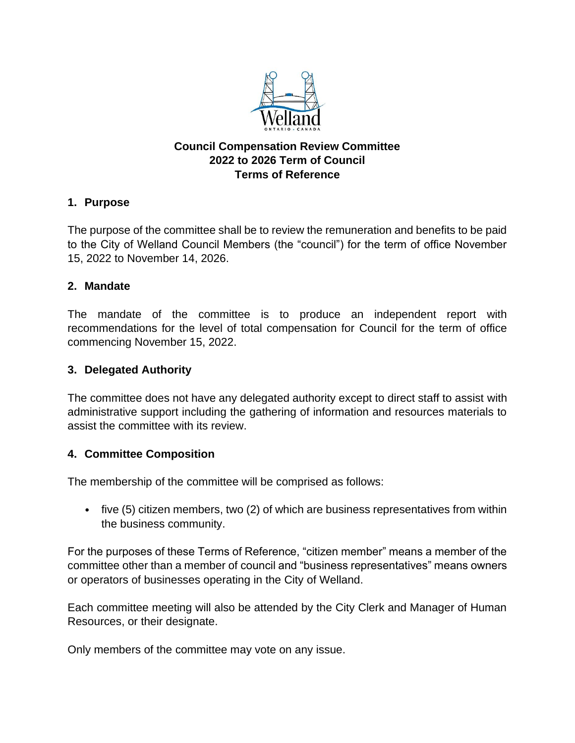

# **Council Compensation Review Committee 2022 to 2026 Term of Council Terms of Reference**

# **1. Purpose**

The purpose of the committee shall be to review the remuneration and benefits to be paid to the City of Welland Council Members (the "council") for the term of office November 15, 2022 to November 14, 2026.

# **2. Mandate**

The mandate of the committee is to produce an independent report with recommendations for the level of total compensation for Council for the term of office commencing November 15, 2022.

# **3. Delegated Authority**

The committee does not have any delegated authority except to direct staff to assist with administrative support including the gathering of information and resources materials to assist the committee with its review.

# **4. Committee Composition**

The membership of the committee will be comprised as follows:

• five (5) citizen members, two (2) of which are business representatives from within the business community.

For the purposes of these Terms of Reference, "citizen member" means a member of the committee other than a member of council and "business representatives" means owners or operators of businesses operating in the City of Welland.

Each committee meeting will also be attended by the City Clerk and Manager of Human Resources, or their designate.

Only members of the committee may vote on any issue.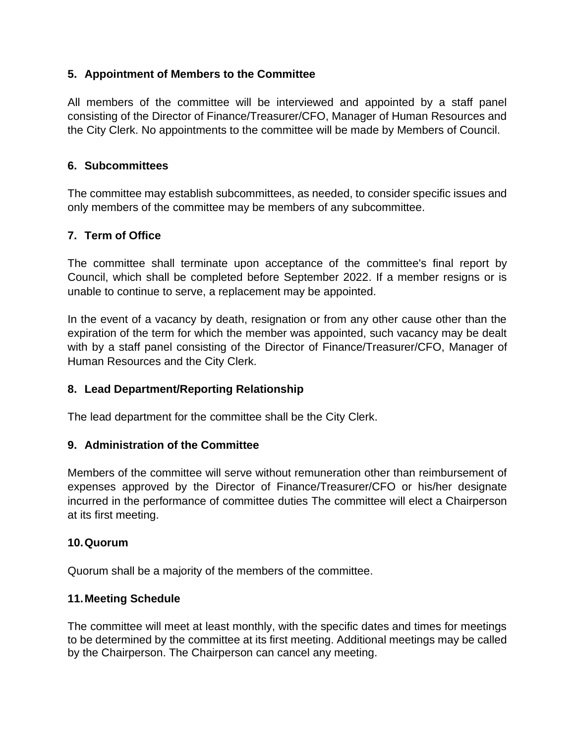# **5. Appointment of Members to the Committee**

All members of the committee will be interviewed and appointed by a staff panel consisting of the Director of Finance/Treasurer/CFO, Manager of Human Resources and the City Clerk. No appointments to the committee will be made by Members of Council.

### **6. Subcommittees**

The committee may establish subcommittees, as needed, to consider specific issues and only members of the committee may be members of any subcommittee.

### **7. Term of Office**

The committee shall terminate upon acceptance of the committee's final report by Council, which shall be completed before September 2022. If a member resigns or is unable to continue to serve, a replacement may be appointed.

In the event of a vacancy by death, resignation or from any other cause other than the expiration of the term for which the member was appointed, such vacancy may be dealt with by a staff panel consisting of the Director of Finance/Treasurer/CFO, Manager of Human Resources and the City Clerk.

### **8. Lead Department/Reporting Relationship**

The lead department for the committee shall be the City Clerk.

### **9. Administration of the Committee**

Members of the committee will serve without remuneration other than reimbursement of expenses approved by the Director of Finance/Treasurer/CFO or his/her designate incurred in the performance of committee duties The committee will elect a Chairperson at its first meeting.

#### **10.Quorum**

Quorum shall be a majority of the members of the committee.

### **11.Meeting Schedule**

The committee will meet at least monthly, with the specific dates and times for meetings to be determined by the committee at its first meeting. Additional meetings may be called by the Chairperson. The Chairperson can cancel any meeting.